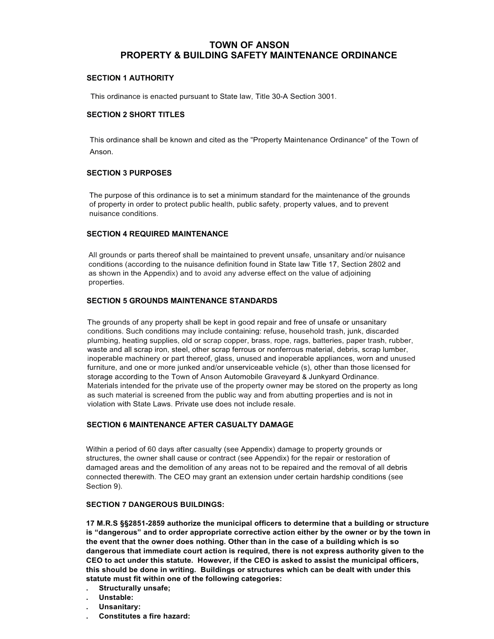## **TOWN OF ANSON PROPERTY & BUILDING SAFETY MAINTENANCE ORDINANCE**

## **SECTION 1 AUTHORITY**

This ordinance is enacted pursuant to State law, Title 30-A Section 3001.

## **SECTION 2 SHORT TITLES**

This ordinance shall be known and cited as the "Property Maintenance Ordinance" of the Town of Anson.

#### **SECTION 3 PURPOSES**

The purpose of this ordinance is to set a minimum standard for the maintenance of the grounds of property in order to protect public health, public safety, property values, and to prevent nuisance conditions.

## **SECTION 4 REQUIRED MAINTENANCE**

All grounds or parts thereof shall be maintained to prevent unsafe, unsanitary and/or nuisance conditions (according to the nuisance definition found in State law Title 17, Section 2802 and as shown in the Appendix) and to avoid any adverse effect on the value of adjoining properties.

## **SECTION 5 GROUNDS MAINTENANCE STANDARDS**

The grounds of any property shall be kept in good repair and free of unsafe or unsanitary conditions. Such conditions may include containing: refuse, household trash, junk, discarded plumbing, heating supplies, old or scrap copper, brass, rope, rags, batteries, paper trash, rubber, waste and all scrap iron, steel, other scrap ferrous or nonferrous material, debris, scrap lumber, inoperable machinery or part thereof, glass, unused and inoperable appliances, worn and unused furniture, and one or more junked and/or unserviceable vehicle (s), other than those licensed for storage according to the Town of Anson Automobile Graveyard & Junkyard Ordinance. Materials intended for the private use of the property owner may be stored on the property as long as such material is screened from the public way and from abutting properties and is not in violation with State Laws. Private use does not include resale.

## **SECTION 6 MAINTENANCE AFTER CASUALTY DAMAGE**

Within a period of 60 days after casualty (see Appendix) damage to property grounds or structures, the owner shall cause or contract (see Appendix) for the repair or restoration of damaged areas and the demolition of any areas not to be repaired and the removal of all debris connected therewith. The CEO may grant an extension under certain hardship conditions (see Section 9).

## **SECTION 7 DANGEROUS BUILDINGS:**

**17 M.R.S §§2851-2859 authorize the municipal officers to determine that a building or structure is "dangerous" and to order appropriate corrective action either by the owner or by the town in the event that the owner does nothing. Other than in the case of a building which is so dangerous that immediate court action is required, there is not express authority given to the CEO to act under this statute. However, if the CEO is asked to assist the municipal officers, this should be done in writing. Buildings or structures which can be dealt with under this statute must fit within one of the following categories:**

- **. Structurally unsafe;**
- **. Unstable:**
- **. Unsanitary:**
- **. Constitutes a fire hazard:**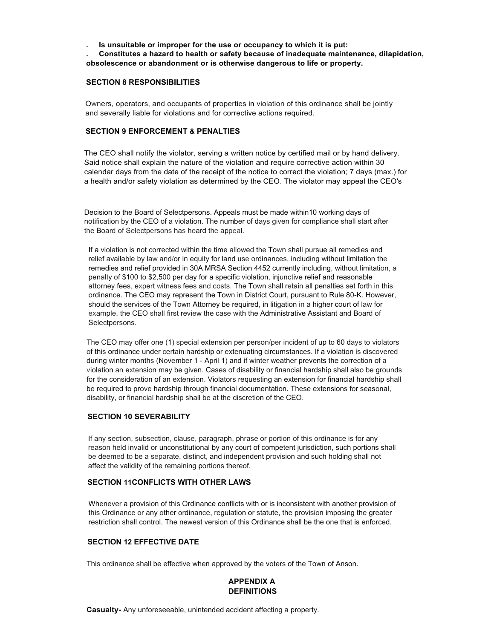**. Is unsuitable or improper for the use or occupancy to which it is put:**

**. Constitutes a hazard to health or safety because of inadequate maintenance, dilapidation, obsolescence or abandonment or is otherwise dangerous to life or property.**

#### **SECTION 8 RESPONSIBILITIES**

Owners, operators, and occupants of properties in violation of this ordinance shall be jointly and severally liable for violations and for corrective actions required.

#### **SECTION 9 ENFORCEMENT & PENALTIES**

The CEO shall notify the violator, serving a written notice by certified mail or by hand delivery. Said notice shall explain the nature of the violation and require corrective action within 30 calendar days from the date of the receipt of the notice to correct the violation; 7 days (max.) for a health and/or safety violation as determined by the CEO. The violator may appeal the CEO's

Decision to the Board of Selectpersons. Appeals must be made within10 working days of notification by the CEO of a violation. The number of days given for compliance shall start after the Board of Selectpersons has heard the appeal.

If a violation is not corrected within the time allowed the Town shall pursue all remedies and relief available by law and/or in equity for land use ordinances, including without limitation the remedies and relief provided in 30A MRSA Section 4452 currently including, without limitation, a penalty of \$100 to \$2,500 per day for a specific violation, injunctive relief and reasonable attorney fees, expert witness fees and costs. The Town shall retain all penalties set forth in this ordinance. The CEO may represent the Town in District Court, pursuant to Rule 80-K. However, should the services of the Town Attorney be required, in litigation in a higher court of law for example, the CEO shall first review the case with the Administrative Assistant and Board of Selectpersons.

The CEO may offer one (1) special extension per person/per incident of up to 60 days to violators of this ordinance under certain hardship or extenuating circumstances. If a violation is discovered during winter months (November 1 - April 1) and if winter weather prevents the correction of a violation an extension may be given. Cases of disability or financial hardship shall also be grounds for the consideration of an extension. Violators requesting an extension for financial hardship shall be required to prove hardship through financial documentation. These extensions for seasonal, disability, or financial hardship shall be at the discretion of the CEO.

#### **SECTION 10 SEVERABILITY**

If any section, subsection, clause, paragraph, phrase or portion of this ordinance is for any reason held invalid or unconstitutional by any court of competent jurisdiction, such portions shall be deemed to be a separate, distinct, and independent provision and such holding shall not affect the validity of the remaining portions thereof.

## **SECTION 11CONFLICTS WITH OTHER LAWS**

Whenever a provision of this Ordinance conflicts with or is inconsistent with another provision of this Ordinance or any other ordinance, regulation or statute, the provision imposing the greater restriction shall control. The newest version of this Ordinance shall be the one that is enforced.

#### **SECTION 12 EFFECTIVE DATE**

This ordinance shall be effective when approved by the voters of the Town of Anson.

## **APPENDIX A DEFINITIONS**

**Casualty-** Any unforeseeable, unintended accident affecting a property.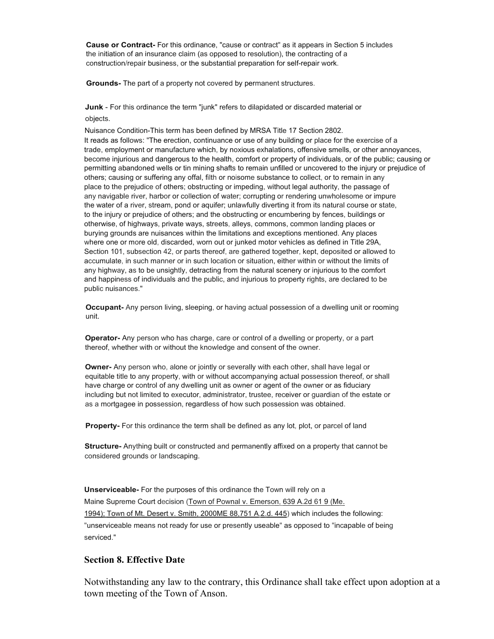**Cause or Contract-** For this ordinance, "cause or contract" as it appears in Section 5 includes the initiation of an insurance claim (as opposed to resolution), the contracting of a construction/repair business, or the substantial preparation for self-repair work.

**Grounds-** The part of a property not covered by permanent structures.

**Junk** - For this ordinance the term "junk" refers to dilapidated or discarded material or objects.

Nuisance Condition-This term has been defined by MRSA Title 17 Section 2802. It reads as follows: "The erection, continuance or use of any building or place for the exercise of a trade, employment or manufacture which, by noxious exhalations, offensive smells, or other annoyances, become injurious and dangerous to the health, comfort or property of individuals, or of the public; causing or permitting abandoned wells or tin mining shafts to remain unfilled or uncovered to the injury or prejudice of others; causing or suffering any offal, filth or noisome substance to collect, or to remain in any place to the prejudice of others; obstructing or impeding, without legal authority, the passage of any navigable river, harbor or collection of water; corrupting or rendering unwholesome or impure the water of a river, stream, pond or aquifer; unlawfully diverting it from its natural course or state, to the injury or prejudice of others; and the obstructing or encumbering by fences, buildings or otherwise, of highways, private ways, streets, alleys, commons, common landing places or burying grounds are nuisances within the limitations and exceptions mentioned. Any places where one or more old, discarded, worn out or junked motor vehicles as defined in Title 29A, Section 101, subsection 42, or parts thereof, are gathered together, kept, deposited or allowed to accumulate, in such manner or in such location or situation, either within or without the limits of any highway, as to be unsightly, detracting from the natural scenery or injurious to the comfort and happiness of individuals and the public, and injurious to property rights, are declared to be public nuisances."

**Occupant-** Any person living, sleeping, or having actual possession of a dwelling unit or rooming unit.

**Operator-** Any person who has charge, care or control of a dwelling or property, or a part thereof, whether with or without the knowledge and consent of the owner.

**Owner-** Any person who, alone or jointly or severally with each other, shall have legal or equitable title to any property, with or without accompanying actual possession thereof, or shall have charge or control of any dwelling unit as owner or agent of the owner or as fiduciary including but not limited to executor, administrator, trustee, receiver or guardian of the estate or as a mortgagee in possession, regardless of how such possession was obtained.

**Property-** For this ordinance the term shall be defined as any lot, plot, or parcel of land

**Structure-** Anything built or constructed and permanently affixed on a property that cannot be considered grounds or landscaping.

**Unserviceable-** For the purposes of this ordinance the Town will rely on a Maine Supreme Court decision (Town of Pownal v. Emerson, 639 A.2d 61 9 (Me. 1994); Town of Mt. Desert v. Smith, 2000ME 88,751 A.2.d. 445) which includes the following: "unserviceable means not ready for use or presently useable" as opposed to "incapable of being serviced."

## **Section 8. Effective Date**

Notwithstanding any law to the contrary, this Ordinance shall take effect upon adoption at a town meeting of the Town of Anson.